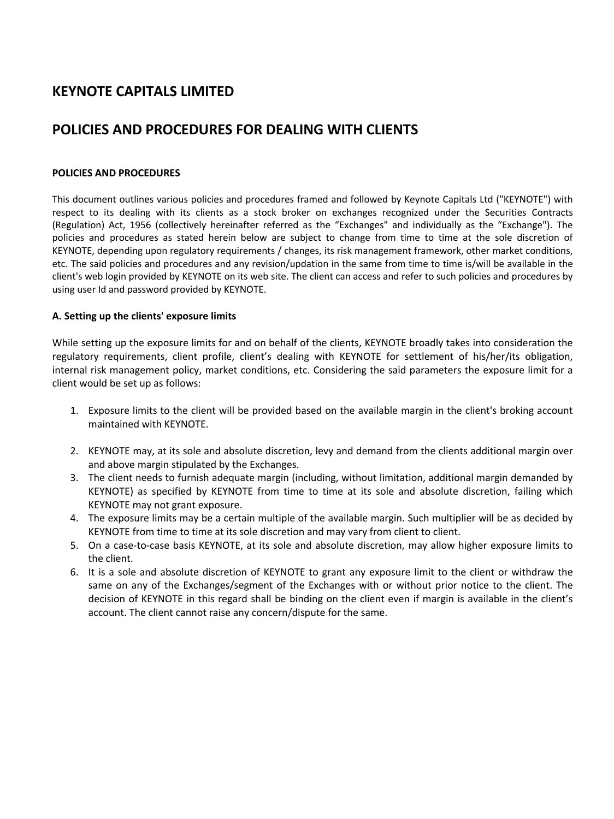# **KEYNOTE CAPITALS LIMITED**

# **POLICIES AND PROCEDURES FOR DEALING WITH CLIENTS**

#### **POLICIES AND PROCEDURES**

This document outlines various policies and procedures framed and followed by Keynote Capitals Ltd ("KEYNOTE") with respect to its dealing with its clients as a stock broker on exchanges recognized under the Securities Contracts (Regulation) Act, 1956 (collectively hereinafter referred as the "Exchanges" and individually as the "Exchange"). The policies and procedures as stated herein below are subject to change from time to time at the sole discretion of KEYNOTE, depending upon regulatory requirements / changes, its risk management framework, other market conditions, etc. The said policies and procedures and any revision/updation in the same from time to time is/will be available in the client's web login provided by KEYNOTE on its web site. The client can access and refer to such policies and procedures by using user Id and password provided by KEYNOTE.

#### **A. Setting up the clients' exposure limits**

While setting up the exposure limits for and on behalf of the clients, KEYNOTE broadly takes into consideration the regulatory requirements, client profile, client's dealing with KEYNOTE for settlement of his/her/its obligation, internal risk management policy, market conditions, etc. Considering the said parameters the exposure limit for a client would be set up as follows:

- 1. Exposure limits to the client will be provided based on the available margin in the client's broking account maintained with KEYNOTE.
- 2. KEYNOTE may, at its sole and absolute discretion, levy and demand from the clients additional margin over and above margin stipulated by the Exchanges.
- 3. The client needs to furnish adequate margin (including, without limitation, additional margin demanded by KEYNOTE) as specified by KEYNOTE from time to time at its sole and absolute discretion, failing which KEYNOTE may not grant exposure.
- 4. The exposure limits may be a certain multiple of the available margin. Such multiplier will be as decided by KEYNOTE from time to time at its sole discretion and may vary from client to client.
- 5. On a case-to-case basis KEYNOTE, at its sole and absolute discretion, may allow higher exposure limits to the client.
- 6. It is a sole and absolute discretion of KEYNOTE to grant any exposure limit to the client or withdraw the same on any of the Exchanges/segment of the Exchanges with or without prior notice to the client. The decision of KEYNOTE in this regard shall be binding on the client even if margin is available in the client's account. The client cannot raise any concern/dispute for the same.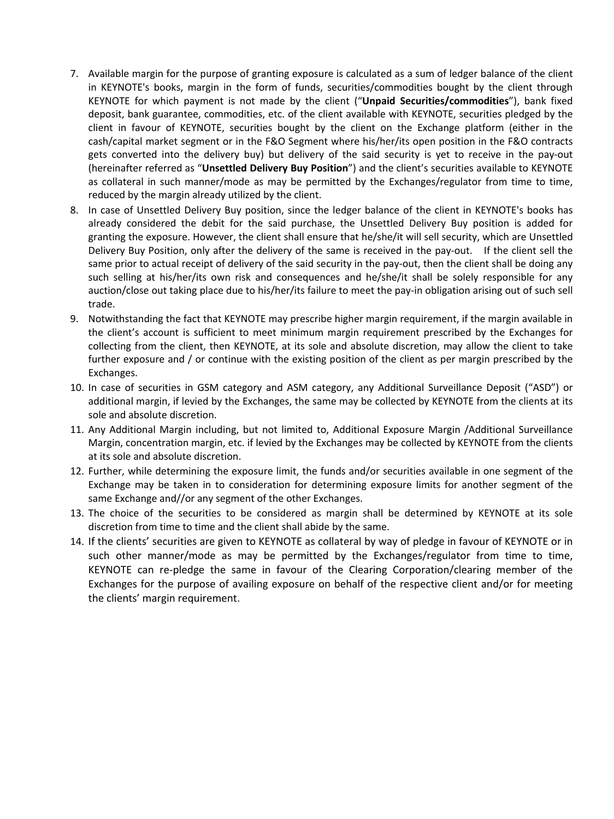- 7. Available margin for the purpose of granting exposure is calculated as a sum of ledger balance of the client in KEYNOTE's books, margin in the form of funds, securities/commodities bought by the client through KEYNOTE for which payment is not made by the client ("**Unpaid Securities/commodities**"), bank fixed deposit, bank guarantee, commodities, etc. of the client available with KEYNOTE, securities pledged by the client in favour of KEYNOTE, securities bought by the client on the Exchange platform (either in the cash/capital market segment or in the F&O Segment where his/her/its open position in the F&O contracts gets converted into the delivery buy) but delivery of the said security is yet to receive in the pay-out (hereinafter referred as "**Unsettled Delivery Buy Position**") and the client's securities available to KEYNOTE as collateral in such manner/mode as may be permitted by the Exchanges/regulator from time to time, reduced by the margin already utilized by the client.
- 8. In case of Unsettled Delivery Buy position, since the ledger balance of the client in KEYNOTE's books has already considered the debit for the said purchase, the Unsettled Delivery Buy position is added for granting the exposure. However, the client shall ensure that he/she/it will sell security, which are Unsettled Delivery Buy Position, only after the delivery of the same is received in the pay-out. If the client sell the same prior to actual receipt of delivery of the said security in the pay-out, then the client shall be doing any such selling at his/her/its own risk and consequences and he/she/it shall be solely responsible for any auction/close out taking place due to his/her/its failure to meet the pay-in obligation arising out of such sell trade.
- 9. Notwithstanding the fact that KEYNOTE may prescribe higher margin requirement, if the margin available in the client's account is sufficient to meet minimum margin requirement prescribed by the Exchanges for collecting from the client, then KEYNOTE, at its sole and absolute discretion, may allow the client to take further exposure and / or continue with the existing position of the client as per margin prescribed by the Exchanges.
- 10. In case of securities in GSM category and ASM category, any Additional Surveillance Deposit ("ASD") or additional margin, if levied by the Exchanges, the same may be collected by KEYNOTE from the clients at its sole and absolute discretion.
- 11. Any Additional Margin including, but not limited to, Additional Exposure Margin /Additional Surveillance Margin, concentration margin, etc. if levied by the Exchanges may be collected by KEYNOTE from the clients at its sole and absolute discretion.
- 12. Further, while determining the exposure limit, the funds and/or securities available in one segment of the Exchange may be taken in to consideration for determining exposure limits for another segment of the same Exchange and//or any segment of the other Exchanges.
- 13. The choice of the securities to be considered as margin shall be determined by KEYNOTE at its sole discretion from time to time and the client shall abide by the same.
- 14. If the clients' securities are given to KEYNOTE as collateral by way of pledge in favour of KEYNOTE or in such other manner/mode as may be permitted by the Exchanges/regulator from time to time, KEYNOTE can re-pledge the same in favour of the Clearing Corporation/clearing member of the Exchanges for the purpose of availing exposure on behalf of the respective client and/or for meeting the clients' margin requirement.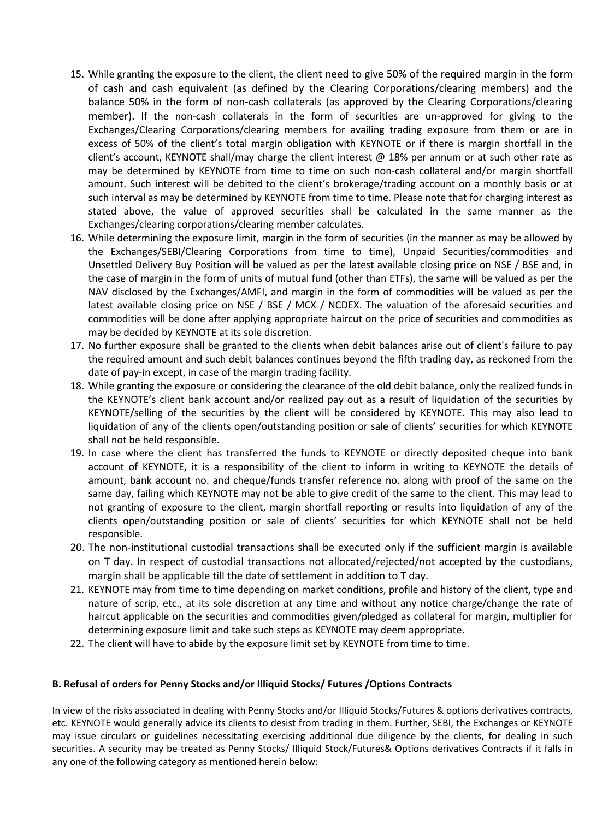- 15. While granting the exposure to the client, the client need to give 50% of the required margin in the form of cash and cash equivalent (as defined by the Clearing Corporations/clearing members) and the balance 50% in the form of non-cash collaterals (as approved by the Clearing Corporations/clearing member). If the non-cash collaterals in the form of securities are un-approved for giving to the Exchanges/Clearing Corporations/clearing members for availing trading exposure from them or are in excess of 50% of the client's total margin obligation with KEYNOTE or if there is margin shortfall in the client's account, KEYNOTE shall/may charge the client interest  $@18%$  per annum or at such other rate as may be determined by KEYNOTE from time to time on such non-cash collateral and/or margin shortfall amount. Such interest will be debited to the client's brokerage/trading account on a monthly basis or at such interval as may be determined by KEYNOTE from time to time. Please note that for charging interest as stated above, the value of approved securities shall be calculated in the same manner as the Exchanges/clearing corporations/clearing member calculates.
- 16. While determining the exposure limit, margin in the form of securities (in the manner as may be allowed by the Exchanges/SEBI/Clearing Corporations from time to time), Unpaid Securities/commodities and Unsettled Delivery Buy Position will be valued as per the latest available closing price on NSE / BSE and, in the case of margin in the form of units of mutual fund (other than ETFs), the same will be valued as per the NAV disclosed by the Exchanges/AMFI, and margin in the form of commodities will be valued as per the latest available closing price on NSE / BSE / MCX / NCDEX. The valuation of the aforesaid securities and commodities will be done after applying appropriate haircut on the price of securities and commodities as may be decided by KEYNOTE at its sole discretion.
- 17. No further exposure shall be granted to the clients when debit balances arise out of client's failure to pay the required amount and such debit balances continues beyond the fifth trading day, as reckoned from the date of pay-in except, in case of the margin trading facility.
- 18. While granting the exposure or considering the clearance of the old debit balance, only the realized funds in the KEYNOTE's client bank account and/or realized pay out as a result of liquidation of the securities by KEYNOTE/selling of the securities by the client will be considered by KEYNOTE. This may also lead to liquidation of any of the clients open/outstanding position or sale of clients' securities for which KEYNOTE shall not be held responsible.
- 19. In case where the client has transferred the funds to KEYNOTE or directly deposited cheque into bank account of KEYNOTE, it is a responsibility of the client to inform in writing to KEYNOTE the details of amount, bank account no. and cheque/funds transfer reference no. along with proof of the same on the same day, failing which KEYNOTE may not be able to give credit of the same to the client. This may lead to not granting of exposure to the client, margin shortfall reporting or results into liquidation of any of the clients open/outstanding position or sale of clients' securities for which KEYNOTE shall not be held responsible.
- 20. The non-institutional custodial transactions shall be executed only if the sufficient margin is available on T day. In respect of custodial transactions not allocated/rejected/not accepted by the custodians, margin shall be applicable till the date of settlement in addition to T day.
- 21. KEYNOTE may from time to time depending on market conditions, profile and history of the client, type and nature of scrip, etc., at its sole discretion at any time and without any notice charge/change the rate of haircut applicable on the securities and commodities given/pledged as collateral for margin, multiplier for determining exposure limit and take such steps as KEYNOTE may deem appropriate.
- 22. The client will have to abide by the exposure limit set by KEYNOTE from time to time.

#### **B. Refusal of orders for Penny Stocks and/or Illiquid Stocks/ Futures /Options Contracts**

In view of the risks associated in dealing with Penny Stocks and/or Illiquid Stocks/Futures & options derivatives contracts, etc. KEYNOTE would generally advice its clients to desist from trading in them. Further, SEBI, the Exchanges or KEYNOTE may issue circulars or guidelines necessitating exercising additional due diligence by the clients, for dealing in such securities. A security may be treated as Penny Stocks/ Illiquid Stock/Futures& Options derivatives Contracts if it falls in any one of the following category as mentioned herein below: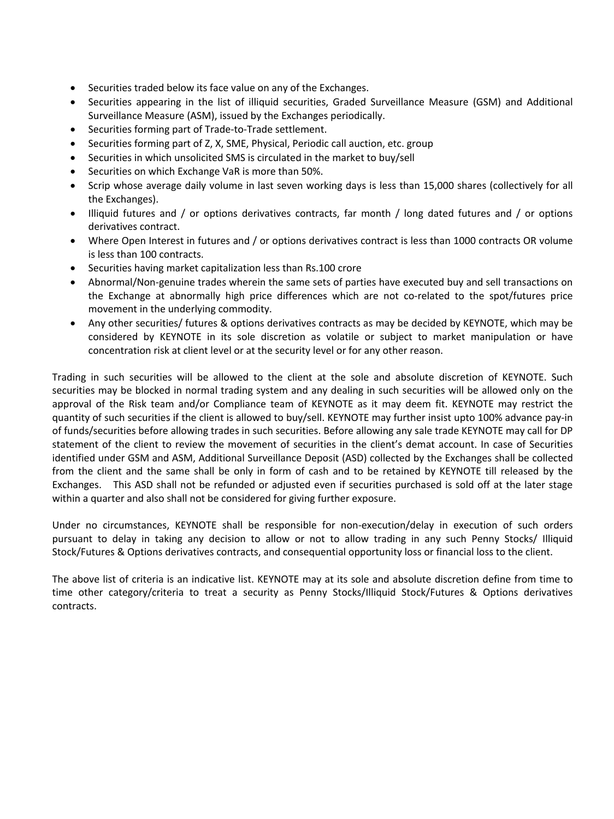- Securities traded below its face value on any of the Exchanges.
- Securities appearing in the list of illiquid securities, Graded Surveillance Measure (GSM) and Additional Surveillance Measure (ASM), issued by the Exchanges periodically.
- Securities forming part of Trade-to-Trade settlement.
- Securities forming part of Z, X, SME, Physical, Periodic call auction, etc. group
- Securities in which unsolicited SMS is circulated in the market to buy/sell
- Securities on which Exchange VaR is more than 50%.
- Scrip whose average daily volume in last seven working days is less than 15,000 shares (collectively for all the Exchanges).
- Illiquid futures and / or options derivatives contracts, far month / long dated futures and / or options derivatives contract.
- Where Open Interest in futures and / or options derivatives contract is less than 1000 contracts OR volume is less than 100 contracts.
- Securities having market capitalization less than Rs.100 crore
- Abnormal/Non-genuine trades wherein the same sets of parties have executed buy and sell transactions on the Exchange at abnormally high price differences which are not co-related to the spot/futures price movement in the underlying commodity.
- Any other securities/ futures & options derivatives contracts as may be decided by KEYNOTE, which may be considered by KEYNOTE in its sole discretion as volatile or subject to market manipulation or have concentration risk at client level or at the security level or for any other reason.

Trading in such securities will be allowed to the client at the sole and absolute discretion of KEYNOTE. Such securities may be blocked in normal trading system and any dealing in such securities will be allowed only on the approval of the Risk team and/or Compliance team of KEYNOTE as it may deem fit. KEYNOTE may restrict the quantity of such securities if the client is allowed to buy/sell. KEYNOTE may further insist upto 100% advance pay-in of funds/securities before allowing trades in such securities. Before allowing any sale trade KEYNOTE may call for DP statement of the client to review the movement of securities in the client's demat account. In case of Securities identified under GSM and ASM, Additional Surveillance Deposit (ASD) collected by the Exchanges shall be collected from the client and the same shall be only in form of cash and to be retained by KEYNOTE till released by the Exchanges. This ASD shall not be refunded or adjusted even if securities purchased is sold off at the later stage within a quarter and also shall not be considered for giving further exposure.

Under no circumstances, KEYNOTE shall be responsible for non-execution/delay in execution of such orders pursuant to delay in taking any decision to allow or not to allow trading in any such Penny Stocks/ Illiquid Stock/Futures & Options derivatives contracts, and consequential opportunity loss or financial loss to the client.

The above list of criteria is an indicative list. KEYNOTE may at its sole and absolute discretion define from time to time other category/criteria to treat a security as Penny Stocks/Illiquid Stock/Futures & Options derivatives contracts.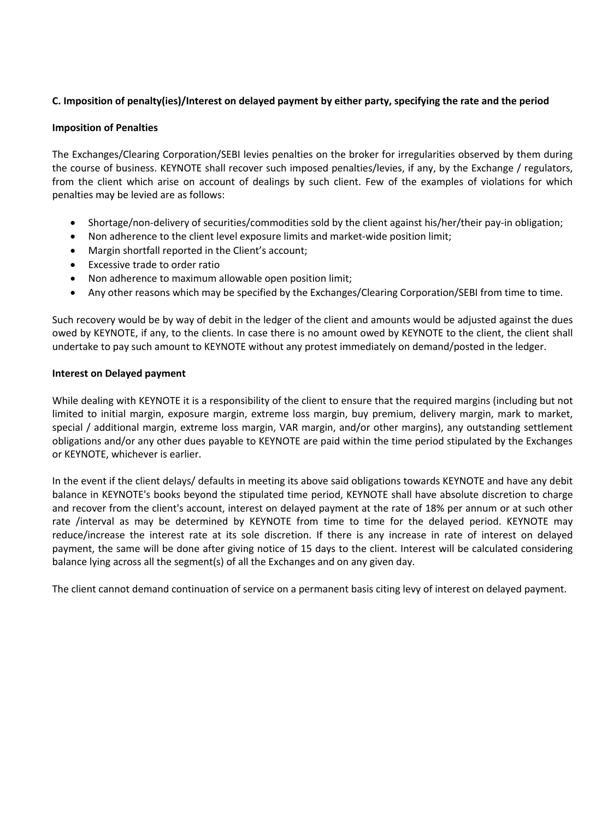## **C. Imposition of penalty(ies)/Interest on delayed payment by either party, specifying the rate and the period**

### **Imposition of Penalties**

The Exchanges/Clearing Corporation/SEBI levies penalties on the broker for irregularities observed by them during the course of business. KEYNOTE shall recover such imposed penalties/levies, if any, by the Exchange / regulators, from the client which arise on account of dealings by such client. Few of the examples of violations for which penalties may be levied are as follows:

- Shortage/non-delivery of securities/commodities sold by the client against his/her/their pay-in obligation;
- Non adherence to the client level exposure limits and market-wide position limit;
- Margin shortfall reported in the Client's account;
- Excessive trade to order ratio
- Non adherence to maximum allowable open position limit;
- Any other reasons which may be specified by the Exchanges/Clearing Corporation/SEBI from time to time.

Such recovery would be by way of debit in the ledger of the client and amounts would be adjusted against the dues owed by KEYNOTE, if any, to the clients. In case there is no amount owed by KEYNOTE to the client, the client shall undertake to pay such amount to KEYNOTE without any protest immediately on demand/posted in the ledger.

#### **Interest on Delayed payment**

While dealing with KEYNOTE it is a responsibility of the client to ensure that the required margins (including but not limited to initial margin, exposure margin, extreme loss margin, buy premium, delivery margin, mark to market, special / additional margin, extreme loss margin, VAR margin, and/or other margins), any outstanding settlement obligations and/or any other dues payable to KEYNOTE are paid within the time period stipulated by the Exchanges or KEYNOTE, whichever is earlier.

In the event if the client delays/ defaults in meeting its above said obligations towards KEYNOTE and have any debit balance in KEYNOTE's books beyond the stipulated time period, KEYNOTE shall have absolute discretion to charge and recover from the client's account, interest on delayed payment at the rate of 18% per annum or at such other rate /interval as may be determined by KEYNOTE from time to time for the delayed period. KEYNOTE may reduce/increase the interest rate at its sole discretion. If there is any increase in rate of interest on delayed payment, the same will be done after giving notice of 15 days to the client. Interest will be calculated considering balance lying across all the segment(s) of all the Exchanges and on any given day.

The client cannot demand continuation of service on a permanent basis citing levy of interest on delayed payment.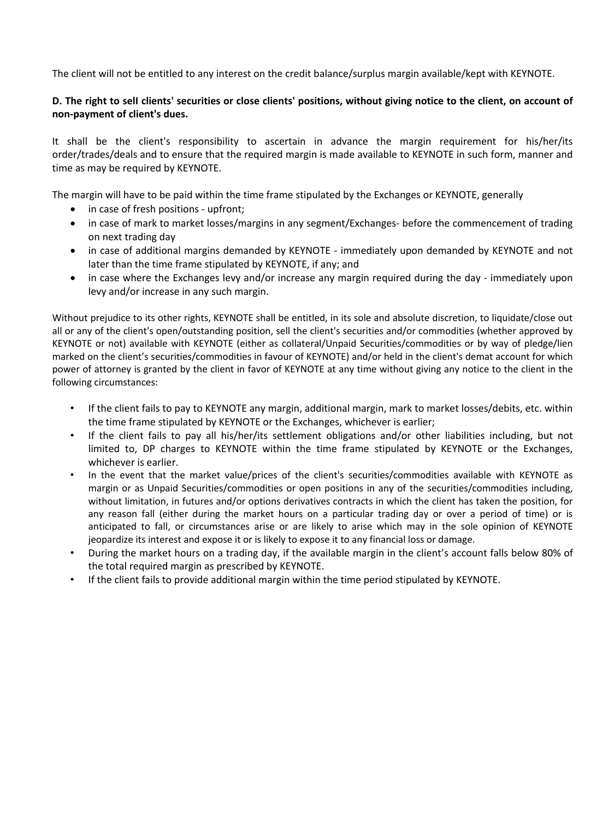The client will not be entitled to any interest on the credit balance/surplus margin available/kept with KEYNOTE.

## **D. The right to selI clients' securities or close clients' positions, without giving notice to the client, on account of non-payment of client's dues.**

It shall be the client's responsibility to ascertain in advance the margin requirement for his/her/its order/trades/deals and to ensure that the required margin is made available to KEYNOTE in such form, manner and time as may be required by KEYNOTE.

The margin will have to be paid within the time frame stipulated by the Exchanges or KEYNOTE, generally

- in case of fresh positions upfront;
- in case of mark to market losses/margins in any segment/Exchanges- before the commencement of trading on next trading day
- in case of additional margins demanded by KEYNOTE immediately upon demanded by KEYNOTE and not later than the time frame stipulated by KEYNOTE, if any; and
- in case where the Exchanges levy and/or increase any margin required during the day immediately upon levy and/or increase in any such margin.

Without prejudice to its other rights, KEYNOTE shall be entitled, in its sole and absolute discretion, to liquidate/close out all or any of the client's open/outstanding position, sell the client's securities and/or commodities (whether approved by KEYNOTE or not) available with KEYNOTE (either as collateral/Unpaid Securities/commodities or by way of pledge/lien marked on the client's securities/commodities in favour of KEYNOTE) and/or held in the client's demat account for which power of attorney is granted by the client in favor of KEYNOTE at any time without giving any notice to the client in the following circumstances:

- If the client fails to pay to KEYNOTE any margin, additional margin, mark to market losses/debits, etc. within the time frame stipulated by KEYNOTE or the Exchanges, whichever is earlier;
- If the client fails to pay all his/her/its settlement obligations and/or other liabilities including, but not limited to, DP charges to KEYNOTE within the time frame stipulated by KEYNOTE or the Exchanges, whichever is earlier.
- In the event that the market value/prices of the client's securities/commodities available with KEYNOTE as margin or as Unpaid Securities/commodities or open positions in any of the securities/commodities including, without limitation, in futures and/or options derivatives contracts in which the client has taken the position, for any reason fall (either during the market hours on a particular trading day or over a period of time) or is anticipated to fall, or circumstances arise or are likely to arise which may in the sole opinion of KEYNOTE jeopardize its interest and expose it or is likely to expose it to any financial loss or damage.
- During the market hours on a trading day, if the available margin in the client's account falls below 80% of the total required margin as prescribed by KEYNOTE.
- If the client fails to provide additional margin within the time period stipulated by KEYNOTE.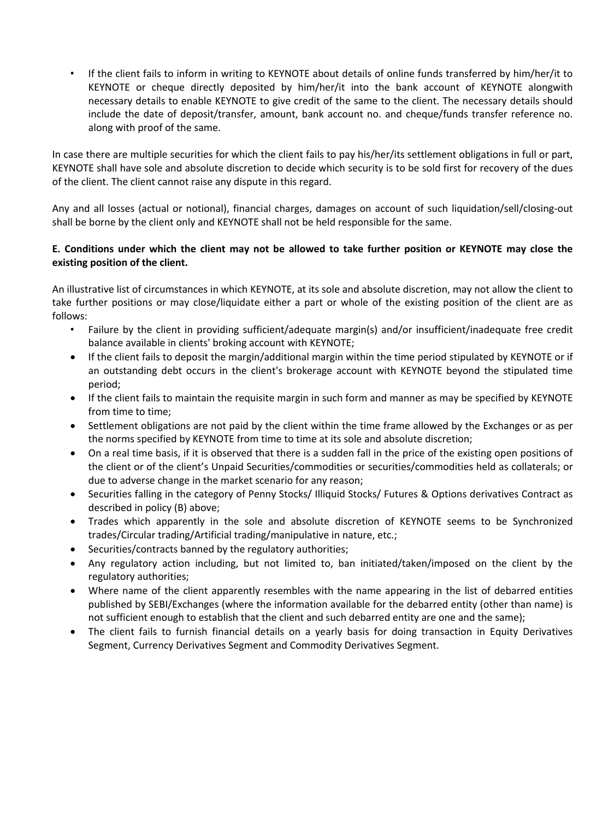• If the client fails to inform in writing to KEYNOTE about details of online funds transferred by him/her/it to KEYNOTE or cheque directly deposited by him/her/it into the bank account of KEYNOTE alongwith necessary details to enable KEYNOTE to give credit of the same to the client. The necessary details should include the date of deposit/transfer, amount, bank account no. and cheque/funds transfer reference no. along with proof of the same.

In case there are multiple securities for which the client fails to pay his/her/its settlement obligations in full or part, KEYNOTE shall have sole and absolute discretion to decide which security is to be sold first for recovery of the dues of the client. The client cannot raise any dispute in this regard.

Any and all losses (actual or notional), financial charges, damages on account of such liquidation/sell/closing-out shall be borne by the client only and KEYNOTE shall not be held responsible for the same.

## **E. Conditions under which the client may not be allowed to take further position or KEYNOTE may close the existing position of the client.**

An illustrative list of circumstances in which KEYNOTE, at its sole and absolute discretion, may not allow the client to take further positions or may close/liquidate either a part or whole of the existing position of the client are as follows:

- Failure by the client in providing sufficient/adequate margin(s) and/or insufficient/inadequate free credit balance available in clients' broking account with KEYNOTE;
- If the client fails to deposit the margin/additional margin within the time period stipulated by KEYNOTE or if an outstanding debt occurs in the client's brokerage account with KEYNOTE beyond the stipulated time period;
- If the client fails to maintain the requisite margin in such form and manner as may be specified by KEYNOTE from time to time;
- Settlement obligations are not paid by the client within the time frame allowed by the Exchanges or as per the norms specified by KEYNOTE from time to time at its sole and absolute discretion;
- On a real time basis, if it is observed that there is a sudden fall in the price of the existing open positions of the client or of the client's Unpaid Securities/commodities or securities/commodities held as collaterals; or due to adverse change in the market scenario for any reason;
- Securities falling in the category of Penny Stocks/ Illiquid Stocks/ Futures & Options derivatives Contract as described in policy (B) above;
- Trades which apparently in the sole and absolute discretion of KEYNOTE seems to be Synchronized trades/Circular trading/Artificial trading/manipulative in nature, etc.;
- Securities/contracts banned by the regulatory authorities;
- Any regulatory action including, but not limited to, ban initiated/taken/imposed on the client by the regulatory authorities;
- Where name of the client apparently resembles with the name appearing in the list of debarred entities published by SEBI/Exchanges (where the information available for the debarred entity (other than name) is not sufficient enough to establish that the client and such debarred entity are one and the same);
- The client fails to furnish financial details on a yearly basis for doing transaction in Equity Derivatives Segment, Currency Derivatives Segment and Commodity Derivatives Segment.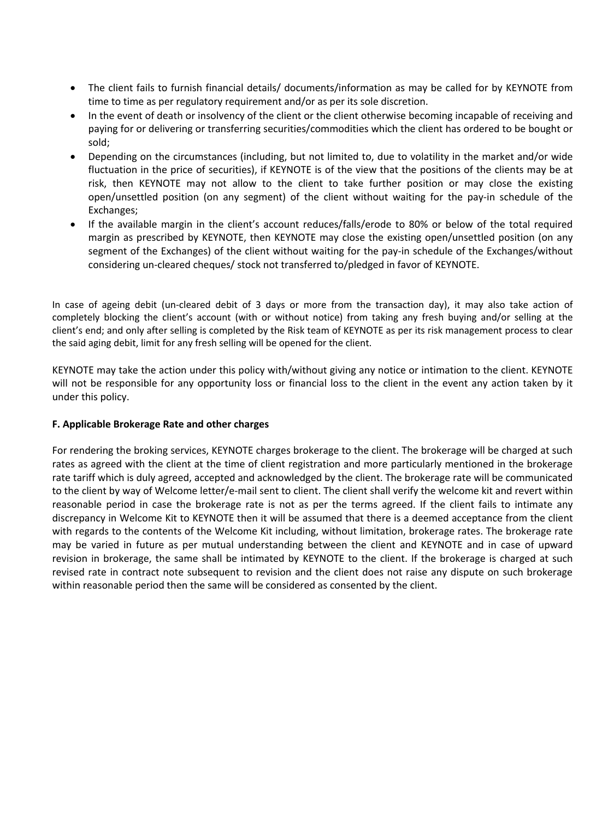- The client fails to furnish financial details/ documents/information as may be called for by KEYNOTE from time to time as per regulatory requirement and/or as per its sole discretion.
- In the event of death or insolvency of the client or the client otherwise becoming incapable of receiving and paying for or delivering or transferring securities/commodities which the client has ordered to be bought or sold;
- Depending on the circumstances (including, but not limited to, due to volatility in the market and/or wide fluctuation in the price of securities), if KEYNOTE is of the view that the positions of the clients may be at risk, then KEYNOTE may not allow to the client to take further position or may close the existing open/unsettled position (on any segment) of the client without waiting for the pay-in schedule of the Exchanges;
- If the available margin in the client's account reduces/falls/erode to 80% or below of the total required margin as prescribed by KEYNOTE, then KEYNOTE may close the existing open/unsettled position (on any segment of the Exchanges) of the client without waiting for the pay-in schedule of the Exchanges/without considering un-cleared cheques/ stock not transferred to/pledged in favor of KEYNOTE.

In case of ageing debit (un-cleared debit of 3 days or more from the transaction day), it may also take action of completely blocking the client's account (with or without notice) from taking any fresh buying and/or selling at the client's end; and only after selling is completed by the Risk team of KEYNOTE as per its risk management process to clear the said aging debit, limit for any fresh selling will be opened for the client.

KEYNOTE may take the action under this policy with/without giving any notice or intimation to the client. KEYNOTE will not be responsible for any opportunity loss or financial loss to the client in the event any action taken by it under this policy.

## **F. Applicable Brokerage Rate and other charges**

For rendering the broking services, KEYNOTE charges brokerage to the client. The brokerage will be charged at such rates as agreed with the client at the time of client registration and more particularly mentioned in the brokerage rate tariff which is duly agreed, accepted and acknowledged by the client. The brokerage rate will be communicated to the client by way of Welcome letter/e-mail sent to client. The client shall verify the welcome kit and revert within reasonable period in case the brokerage rate is not as per the terms agreed. If the client fails to intimate any discrepancy in Welcome Kit to KEYNOTE then it will be assumed that there is a deemed acceptance from the client with regards to the contents of the Welcome Kit including, without limitation, brokerage rates. The brokerage rate may be varied in future as per mutual understanding between the client and KEYNOTE and in case of upward revision in brokerage, the same shall be intimated by KEYNOTE to the client. If the brokerage is charged at such revised rate in contract note subsequent to revision and the client does not raise any dispute on such brokerage within reasonable period then the same will be considered as consented by the client.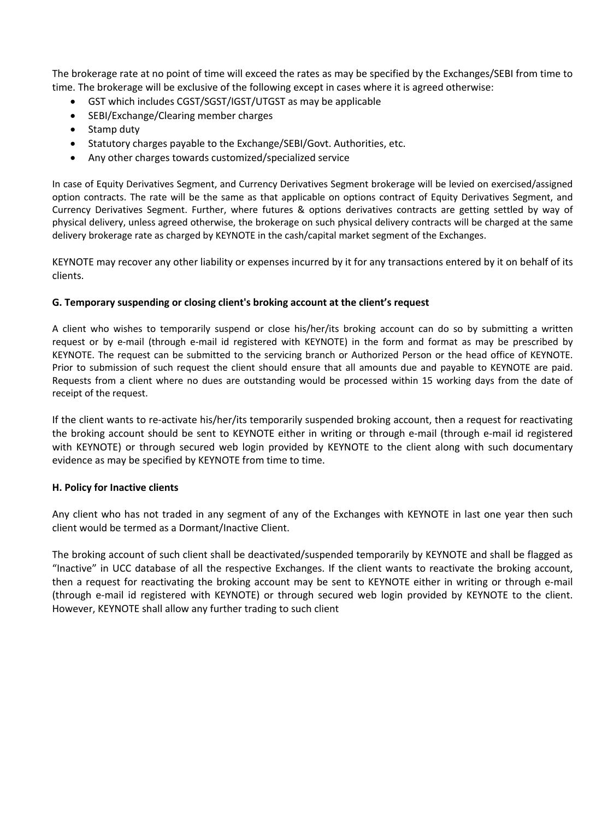The brokerage rate at no point of time will exceed the rates as may be specified by the Exchanges/SEBI from time to time. The brokerage will be exclusive of the following except in cases where it is agreed otherwise:

- GST which includes CGST/SGST/IGST/UTGST as may be applicable
- SEBI/Exchange/Clearing member charges
- Stamp duty
- Statutory charges payable to the Exchange/SEBI/Govt. Authorities, etc.
- Any other charges towards customized/specialized service

In case of Equity Derivatives Segment, and Currency Derivatives Segment brokerage will be levied on exercised/assigned option contracts. The rate will be the same as that applicable on options contract of Equity Derivatives Segment, and Currency Derivatives Segment. Further, where futures & options derivatives contracts are getting settled by way of physical delivery, unless agreed otherwise, the brokerage on such physical delivery contracts will be charged at the same delivery brokerage rate as charged by KEYNOTE in the cash/capital market segment of the Exchanges.

KEYNOTE may recover any other liability or expenses incurred by it for any transactions entered by it on behalf of its clients.

## **G. Temporary suspending or closing client's broking account at the client's request**

A client who wishes to temporarily suspend or close his/her/its broking account can do so by submitting a written request or by e-mail (through e-mail id registered with KEYNOTE) in the form and format as may be prescribed by KEYNOTE. The request can be submitted to the servicing branch or Authorized Person or the head office of KEYNOTE. Prior to submission of such request the client should ensure that all amounts due and payable to KEYNOTE are paid. Requests from a client where no dues are outstanding would be processed within 15 working days from the date of receipt of the request.

If the client wants to re-activate his/her/its temporarily suspended broking account, then a request for reactivating the broking account should be sent to KEYNOTE either in writing or through e-mail (through e-mail id registered with KEYNOTE) or through secured web login provided by KEYNOTE to the client along with such documentary evidence as may be specified by KEYNOTE from time to time.

#### **H. Policy for Inactive clients**

Any client who has not traded in any segment of any of the Exchanges with KEYNOTE in last one year then such client would be termed as a Dormant/Inactive Client.

The broking account of such client shall be deactivated/suspended temporarily by KEYNOTE and shall be flagged as "Inactive" in UCC database of all the respective Exchanges. If the client wants to reactivate the broking account, then a request for reactivating the broking account may be sent to KEYNOTE either in writing or through e-mail (through e-mail id registered with KEYNOTE) or through secured web login provided by KEYNOTE to the client. However, KEYNOTE shall allow any further trading to such client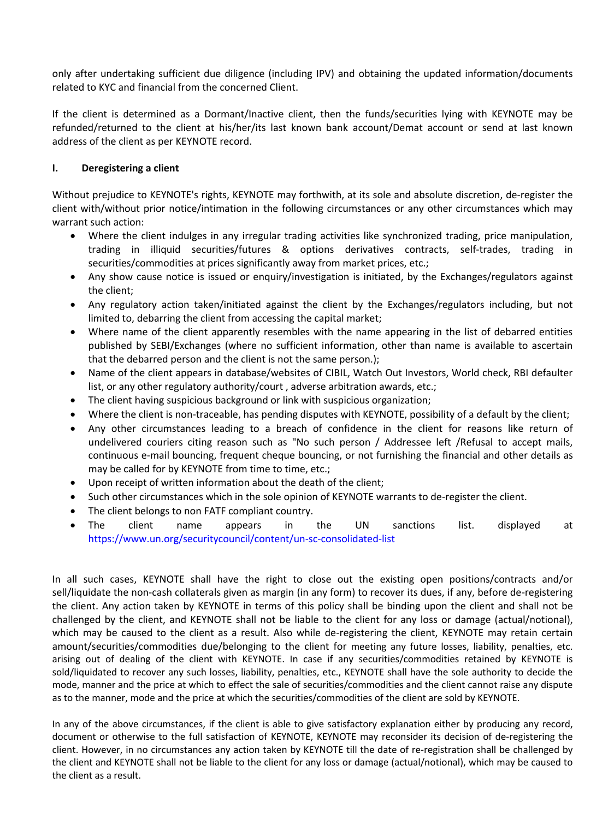only after undertaking sufficient due diligence (including IPV) and obtaining the updated information/documents related to KYC and financial from the concerned Client.

If the client is determined as a Dormant/Inactive client, then the funds/securities lying with KEYNOTE may be refunded/returned to the client at his/her/its last known bank account/Demat account or send at last known address of the client as per KEYNOTE record.

## **I. Deregistering a client**

Without prejudice to KEYNOTE's rights, KEYNOTE may forthwith, at its sole and absolute discretion, de-register the client with/without prior notice/intimation in the following circumstances or any other circumstances which may warrant such action:

- Where the client indulges in any irregular trading activities like synchronized trading, price manipulation, trading in illiquid securities/futures & options derivatives contracts, self-trades, trading in securities/commodities at prices significantly away from market prices, etc.;
- Any show cause notice is issued or enquiry/investigation is initiated, by the Exchanges/regulators against the client;
- Any regulatory action taken/initiated against the client by the Exchanges/regulators including, but not limited to, debarring the client from accessing the capital market;
- Where name of the client apparently resembles with the name appearing in the list of debarred entities published by SEBI/Exchanges (where no sufficient information, other than name is available to ascertain that the debarred person and the client is not the same person.);
- Name of the client appears in database/websites of CIBIL, Watch Out Investors, World check, RBI defaulter list, or any other regulatory authority/court, adverse arbitration awards, etc.;
- The client having suspicious background or link with suspicious organization;
- Where the client is non-traceable, has pending disputes with KEYNOTE, possibility of a default by the client;
- Any other circumstances leading to a breach of confidence in the client for reasons like return of undelivered couriers citing reason such as "No such person / Addressee left /Refusal to accept mails, continuous e-mail bouncing, frequent cheque bouncing, or not furnishing the financial and other details as may be called for by KEYNOTE from time to time, etc.;
- Upon receipt of written information about the death of the client;
- Such other circumstances which in the sole opinion of KEYNOTE warrants to de-register the client.
- The client belongs to non FATF compliant country.
- The client name appears in the UN sanctions list. displayed at https://www.un.org/securitycouncil/content/un-sc-consolidated-list

In all such cases, KEYNOTE shall have the right to close out the existing open positions/contracts and/or sell/liquidate the non-cash collaterals given as margin (in any form) to recover its dues, if any, before de-registering the client. Any action taken by KEYNOTE in terms of this policy shall be binding upon the client and shall not be challenged by the client, and KEYNOTE shall not be liable to the client for any loss or damage (actual/notional), which may be caused to the client as a result. Also while de-registering the client, KEYNOTE may retain certain amount/securities/commodities due/belonging to the client for meeting any future losses, liability, penalties, etc. arising out of dealing of the client with KEYNOTE. In case if any securities/commodities retained by KEYNOTE is sold/liquidated to recover any such losses, liability, penalties, etc., KEYNOTE shall have the sole authority to decide the mode, manner and the price at which to effect the sale of securities/commodities and the client cannot raise any dispute as to the manner, mode and the price at which the securities/commodities of the client are sold by KEYNOTE.

In any of the above circumstances, if the client is able to give satisfactory explanation either by producing any record, document or otherwise to the full satisfaction of KEYNOTE, KEYNOTE may reconsider its decision of de-registering the client. However, in no circumstances any action taken by KEYNOTE till the date of re-registration shall be challenged by the client and KEYNOTE shall not be liable to the client for any loss or damage (actual/notional), which may be caused to the client as a result.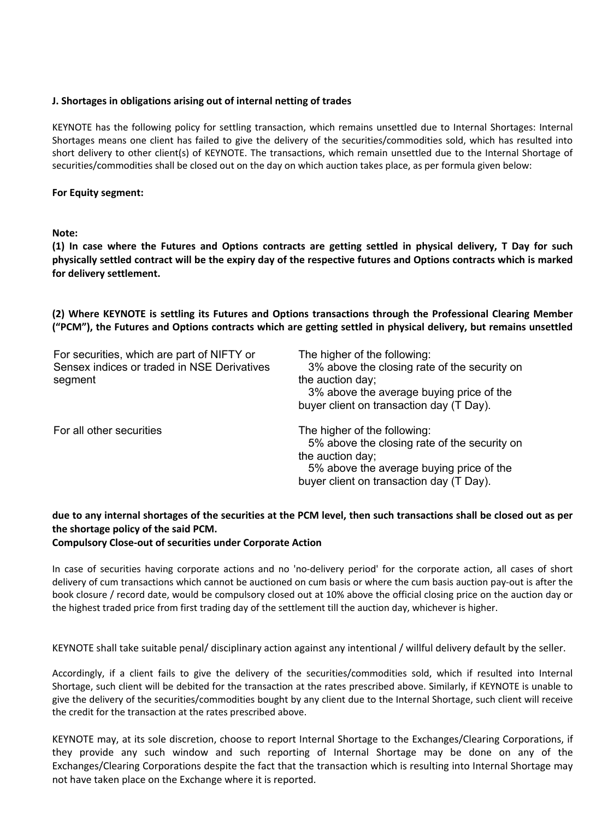#### **J. Shortages in obligations arising out of internal netting of trades**

KEYNOTE has the following policy for settling transaction, which remains unsettled due to Internal Shortages: Internal Shortages means one client has failed to give the delivery of the securities/commodities sold, which has resulted into short delivery to other client(s) of KEYNOTE. The transactions, which remain unsettled due to the Internal Shortage of securities/commodities shall be closed out on the day on which auction takes place, as per formula given below:

#### **For Equity segment:**

**Note:** 

**(1) In case where the Futures and Options contracts are getting settled in physical delivery, T Day for such physically settled contract will be the expiry day of the respective futures and Options contracts which is marked for delivery settlement.** 

**(2) Where KEYNOTE is settling its Futures and Options transactions through the Professional Clearing Member ("PCM"), the Futures and Options contracts which are getting settled in physical delivery, but remains unsettled** 

| For securities, which are part of NIFTY or<br>Sensex indices or traded in NSE Derivatives<br>segment | The higher of the following:<br>3% above the closing rate of the security on<br>the auction day;<br>3% above the average buying price of the<br>buyer client on transaction day (T Day). |
|------------------------------------------------------------------------------------------------------|------------------------------------------------------------------------------------------------------------------------------------------------------------------------------------------|
| For all other securities                                                                             | The higher of the following:<br>5% above the closing rate of the security on<br>the auction day;<br>5% above the average buying price of the<br>buyer client on transaction day (T Day). |

## **due to any internal shortages of the securities at the PCM level, then such transactions shall be closed out as per the shortage policy of the said PCM.**

**Compulsory Close-out of securities under Corporate Action** 

In case of securities having corporate actions and no 'no-delivery period' for the corporate action, all cases of short delivery of cum transactions which cannot be auctioned on cum basis or where the cum basis auction pay-out is after the book closure / record date, would be compulsory closed out at 10% above the official closing price on the auction day or the highest traded price from first trading day of the settlement till the auction day, whichever is higher.

KEYNOTE shall take suitable penal/ disciplinary action against any intentional / willful delivery default by the seller.

Accordingly, if a client fails to give the delivery of the securities/commodities sold, which if resulted into Internal Shortage, such client will be debited for the transaction at the rates prescribed above. Similarly, if KEYNOTE is unable to give the delivery of the securities/commodities bought by any client due to the Internal Shortage, such client will receive the credit for the transaction at the rates prescribed above.

KEYNOTE may, at its sole discretion, choose to report Internal Shortage to the Exchanges/Clearing Corporations, if they provide any such window and such reporting of Internal Shortage may be done on any of the Exchanges/Clearing Corporations despite the fact that the transaction which is resulting into Internal Shortage may not have taken place on the Exchange where it is reported.